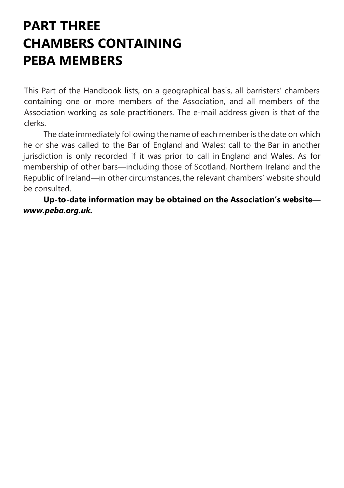# PART THREE CHAMBERS CONTAINING PEBA MEMBERS

This Part of the Handbook lists, on a geographical basis, all barristers' chambers containing one or more members of the Association, and all members of the Association working as sole practitioners. The e-mail address given is that of the clerks.

The date immediately following the name of each member is the date on which he or she was called to the Bar of England and Wales; call to the Bar in another jurisdiction is only recorded if it was prior to call in England and Wales. As for membership of other bars—including those of Scotland, Northern Ireland and the Republic of Ireland—in other circumstances, the relevant chambers' website should be consulted.

Up-to-date information may be obtained on the Association's website www.peba.org.uk.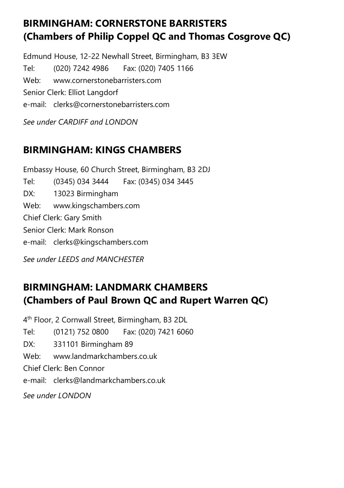## BIRMINGHAM: CORNERSTONE BARRISTERS (Chambers of Philip Coppel QC and Thomas Cosgrove QC)

Edmund House, 12-22 Newhall Street, Birmingham, B3 3EW Tel: (020) 7242 4986 Fax: (020) 7405 1166 Web: www.cornerstonebarristers.com Senior Clerk: Elliot Langdorf e-mail: clerks@cornerstonebarristers.com See under CARDIFF and LONDON

#### BIRMINGHAM: KINGS CHAMBERS

Embassy House, 60 Church Street, Birmingham, B3 2DJ Tel: (0345) 034 3444 Fax: (0345) 034 3445 DX: 13023 Birmingham Web: www.kingschambers.com Chief Clerk: Gary Smith Senior Clerk: Mark Ronson e-mail: clerks@kingschambers.com

See under LEEDS and MANCHESTER

## BIRMINGHAM: LANDMARK CHAMBERS (Chambers of Paul Brown QC and Rupert Warren QC)

4 th Floor, 2 Cornwall Street, Birmingham, B3 2DL Tel: (0121) 752 0800 Fax: (020) 7421 6060 DX: 331101 Birmingham 89 Web: www.landmarkchambers.co.uk Chief Clerk: Ben Connor e-mail: clerks@landmarkchambers.co.uk See under LONDON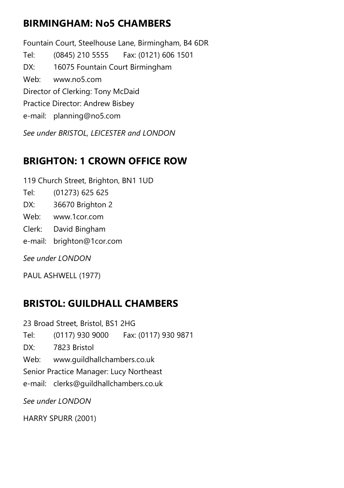#### BIRMINGHAM: No5 CHAMBERS

Fountain Court, Steelhouse Lane, Birmingham, B4 6DR Tel: (0845) 210 5555 Fax: (0121) 606 1501 DX: 16075 Fountain Court Birmingham Web: www.no5.com Director of Clerking: Tony McDaid Practice Director: Andrew Bisbey e-mail: planning@no5.com

See under BRISTOL, LEICESTER and LONDON

## BRIGHTON: 1 CROWN OFFICE ROW

119 Church Street, Brighton, BN1 1UD

- Tel: (01273) 625 625
- DX: 36670 Brighton 2
- Web: www.1cor.com
- Clerk: David Bingham
- e-mail: brighton@1cor.com

See under LONDON

PAUL ASHWELL (1977)

## BRISTOL: GUILDHALL CHAMBERS

23 Broad Street, Bristol, BS1 2HG Tel: (0117) 930 9000 Fax: (0117) 930 9871 DX: 7823 Bristol Web: www.guildhallchambers.co.uk Senior Practice Manager: Lucy Northeast e-mail: clerks@guildhallchambers.co.uk See under LONDON

HARRY SPURR (2001)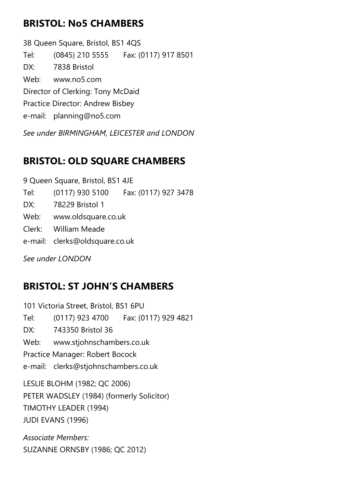#### BRISTOL: No5 CHAMBERS

38 Queen Square, Bristol, BS1 4QS Tel: (0845) 210 5555 Fax: (0117) 917 8501 DX: 7838 Bristol Web: www.no5.com Director of Clerking: Tony McDaid Practice Director: Andrew Bisbey e-mail: planning@no5.com

See under BIRMINGHAM, LEICESTER and LONDON

#### BRISTOL: OLD SQUARE CHAMBERS

9 Queen Square, Bristol, BS1 4JE

Tel: (0117) 930 5100 Fax: (0117) 927 3478

DX: 78229 Bristol 1

Web: www.oldsquare.co.uk

Clerk: William Meade

e-mail: clerks@oldsquare.co.uk

See under LONDON

## BRISTOL: ST JOHN'S CHAMBERS

101 Victoria Street, Bristol, BS1 6PU Tel: (0117) 923 4700 Fax: (0117) 929 4821 DX: 743350 Bristol 36 Web: www.stjohnschambers.co.uk Practice Manager: Robert Bocock e-mail: clerks@stjohnschambers.co.uk LESLIE BLOHM (1982; QC 2006) PETER WADSLEY (1984) (formerly Solicitor) TIMOTHY LEADER (1994) JUDI EVANS (1996)

Associate Members: SUZANNE ORNSBY (1986; QC 2012)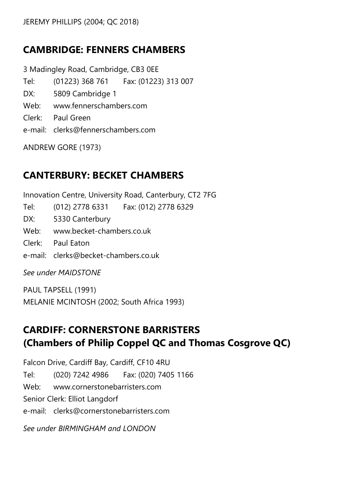## CAMBRIDGE: FENNERS CHAMBERS

3 Madingley Road, Cambridge, CB3 0EE Tel: (01223) 368 761 Fax: (01223) 313 007 DX: 5809 Cambridge 1 Web: www.fennerschambers.com Clerk: Paul Green e-mail: clerks@fennerschambers.com

ANDREW GORE (1973)

#### CANTERBURY: BECKET CHAMBERS

Innovation Centre, University Road, Canterbury, CT2 7FG Tel: (012) 2778 6331 Fax: (012) 2778 6329 DX: 5330 Canterbury Web: www.becket-chambers.co.uk Clerk: Paul Eaton e-mail: clerks@becket-chambers.co.uk See under MAIDSTONE

PAUL TAPSELL (1991) MELANIE MCINTOSH (2002; South Africa 1993)

## CARDIFF: CORNERSTONE BARRISTERS (Chambers of Philip Coppel QC and Thomas Cosgrove QC)

Falcon Drive, Cardiff Bay, Cardiff, CF10 4RU Tel: (020) 7242 4986 Fax: (020) 7405 1166 Web: www.cornerstonebarristers.com Senior Clerk: Elliot Langdorf e-mail: clerks@cornerstonebarristers.com See under BIRMINGHAM and LONDON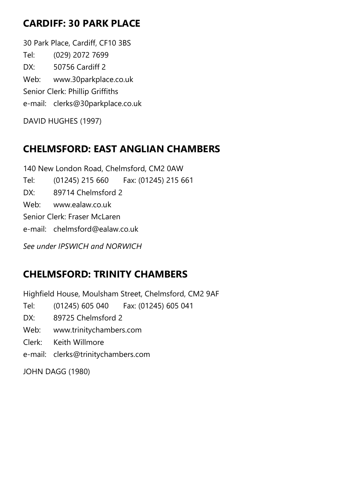## CARDIFF: 30 PARK PLACE

30 Park Place, Cardiff, CF10 3BS Tel: (029) 2072 7699 DX: 50756 Cardiff 2 Web: www.30parkplace.co.uk Senior Clerk: Phillip Griffiths e-mail: clerks@30parkplace.co.uk

DAVID HUGHES (1997)

## CHELMSFORD: EAST ANGLIAN CHAMBERS

140 New London Road, Chelmsford, CM2 0AW Tel: (01245) 215 660 Fax: (01245) 215 661 DX: 89714 Chelmsford 2 Web: www.ealaw.co.uk Senior Clerk: Fraser McLaren e-mail: chelmsford@ealaw.co.uk See under IPSWICH and NORWICH

## CHELMSFORD: TRINITY CHAMBERS

Highfield House, Moulsham Street, Chelmsford, CM2 9AF

Tel: (01245) 605 040 Fax: (01245) 605 041

DX: 89725 Chelmsford 2

Web: www.trinitychambers.com

Clerk: Keith Willmore

e-mail: clerks@trinitychambers.com

JOHN DAGG (1980)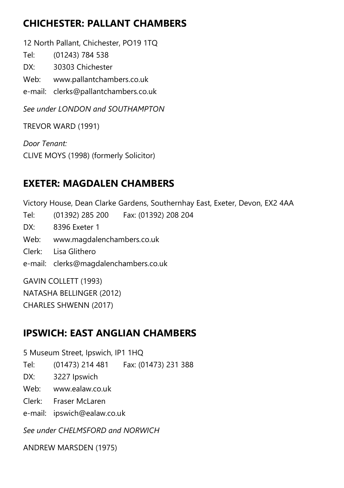## CHICHESTER: PALLANT CHAMBERS

12 North Pallant, Chichester, PO19 1TQ

Tel: (01243) 784 538

DX: 30303 Chichester

Web: www.pallantchambers.co.uk

e-mail: clerks@pallantchambers.co.uk

See under LONDON and SOUTHAMPTON

TREVOR WARD (1991)

Door Tenant: CLIVE MOYS (1998) (formerly Solicitor)

## EXETER: MAGDALEN CHAMBERS

Victory House, Dean Clarke Gardens, Southernhay East, Exeter, Devon, EX2 4AA Tel: (01392) 285 200 Fax: (01392) 208 204 DX: 8396 Exeter 1 Web: www.magdalenchambers.co.uk Clerk: Lisa Glithero e-mail: clerks@magdalenchambers.co.uk GAVIN COLLETT (1993) NATASHA BELLINGER (2012)

CHARLES SHWENN (2017)

## IPSWICH: EAST ANGLIAN CHAMBERS

5 Museum Street, Ipswich, IP1 1HQ

Tel: (01473) 214 481 Fax: (01473) 231 388

DX: 3227 Ipswich

Web: www.ealaw.co.uk

Clerk: Fraser McLaren

e-mail: ipswich@ealaw.co.uk

See under CHELMSFORD and NORWICH

ANDREW MARSDEN (1975)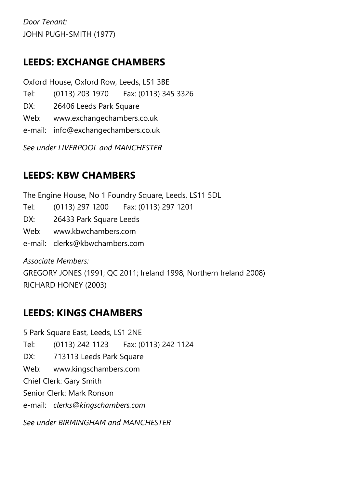Door Tenant: JOHN PUGH-SMITH (1977)

#### LEEDS: EXCHANGE CHAMBERS

Oxford House, Oxford Row, Leeds, LS1 3BE Tel: (0113) 203 1970 Fax: (0113) 345 3326 DX: 26406 Leeds Park Square Web: www.exchangechambers.co.uk

e-mail: info@exchangechambers.co.uk

See under LIVERPOOL and MANCHESTER

## LEEDS: KBW CHAMBERS

The Engine House, No 1 Foundry Square, Leeds, LS11 5DL Tel: (0113) 297 1200 Fax: (0113) 297 1201 DX: 26433 Park Square Leeds Web: www.kbwchambers.com

e-mail: clerks@kbwchambers.com

Associate Members: GREGORY JONES (1991; QC 2011; Ireland 1998; Northern Ireland 2008) RICHARD HONEY (2003)

## LEEDS: KINGS CHAMBERS

5 Park Square East, Leeds, LS1 2NE Tel: (0113) 242 1123 Fax: (0113) 242 1124 DX: 713113 Leeds Park Square Web: www.kingschambers.com Chief Clerk: Gary Smith Senior Clerk: Mark Ronson e-mail: clerks@kingschambers.com See under BIRMINGHAM and MANCHESTER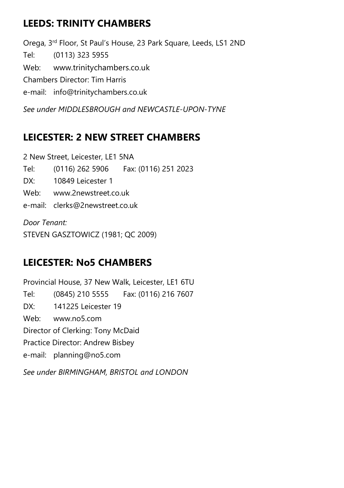## LEEDS: TRINITY CHAMBERS

Orega, 3rd Floor, St Paul's House, 23 Park Square, Leeds, LS1 2ND Tel: (0113) 323 5955 Web: www.trinitychambers.co.uk Chambers Director: Tim Harris e-mail: info@trinitychambers.co.uk

See under MIDDI ESBROUGH and NEWCASTLE-UPON-TYNE

## LEICESTER: 2 NEW STREET CHAMBERS

2 New Street, Leicester, LE1 5NA

Tel: (0116) 262 5906 Fax: (0116) 251 2023

- DX: 10849 Leicester 1
- Web: www.2newstreet.co.uk
- e-mail: clerks@2newstreet.co.uk

Door Tenant: STEVEN GASZTOWICZ (1981; QC 2009)

## LEICESTER: No5 CHAMBERS

Provincial House, 37 New Walk, Leicester, LE1 6TU Tel: (0845) 210 5555 Fax: (0116) 216 7607 DX: 141225 Leicester 19 Web: www.no5.com Director of Clerking: Tony McDaid Practice Director: Andrew Bisbey e-mail: planning@no5.com

See under BIRMINGHAM, BRISTOL and LONDON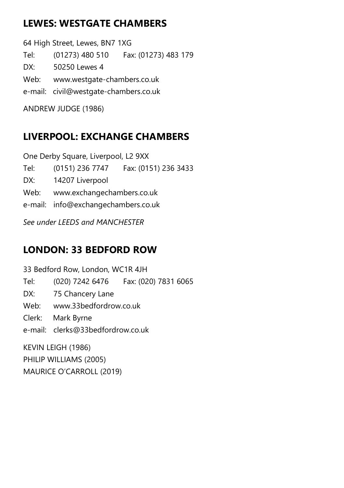## LEWES: WESTGATE CHAMBERS

64 High Street, Lewes, BN7 1XG Tel: (01273) 480 510 Fax: (01273) 483 179 DX: 50250 Lewes 4 Web: www.westgate-chambers.co.uk e-mail: civil@westgate-chambers.co.uk ANDREW JUDGE (1986)

## LIVERPOOL: EXCHANGE CHAMBERS

One Derby Square, Liverpool, L2 9XX Tel: (0151) 236 7747 Fax: (0151) 236 3433 DX: 14207 Liverpool Web: www.exchangechambers.co.uk e-mail: info@exchangechambers.co.uk See under LEEDS and MANCHESTER

## LONDON: 33 BEDFORD ROW

33 Bedford Row, London, WC1R 4JH Tel: (020) 7242 6476 Fax: (020) 7831 6065 DX: 75 Chancery Lane Web: www.33bedfordrow.co.uk Clerk: Mark Byrne e-mail: clerks@33bedfordrow.co.uk KEVIN LEIGH (1986)

PHILIP WILLIAMS (2005) MAURICE O'CARROLL (2019)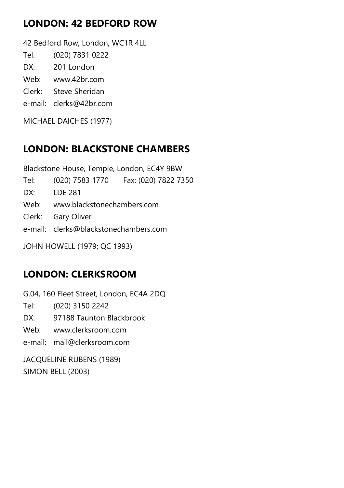## LONDON: 42 BEDFORD ROW

42 Bedford Row, London, WC1R 4LL

- Tel: (020) 7831 0222
- DX: 201 London
- Web: www.42br.com
- Clerk: Steve Sheridan
- e-mail: clerks@42br.com

MICHAEL DAICHES (1977)

## LONDON: BLACKSTONE CHAMBERS

Blackstone House, Temple, London, EC4Y 9BW Tel: (020) 7583 1770 Fax: (020) 7822 7350 DX: LDE 281 Web: www.blackstonechambers.com Clerk: Gary Oliver e-mail: clerks@blackstonechambers.com JOHN HOWELL (1979; QC 1993)

## LONDON: CLERKSROOM

G.04, 160 Fleet Street, London, EC4A 2DQ

Tel: (020) 3150 2242

- DX: 97188 Taunton Blackbrook
- Web: www.clerksroom.com

e-mail: mail@clerksroom.com

JACQUELINE RUBENS (1989) SIMON BELL (2003)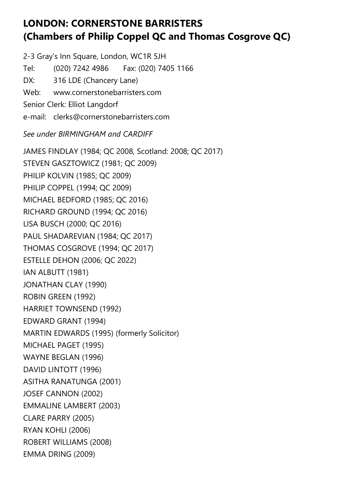## LONDON: CORNERSTONE BARRISTERS (Chambers of Philip Coppel QC and Thomas Cosgrove QC)

2-3 Gray's Inn Square, London, WC1R 5JH Tel: (020) 7242 4986 Fax: (020) 7405 1166 DX: 316 LDE (Chancery Lane) Web: www.cornerstonebarristers.com Senior Clerk: Elliot Langdorf e-mail: clerks@cornerstonebarristers.com

#### See under BIRMINGHAM and CARDIFF

JAMES FINDLAY (1984; QC 2008, Scotland: 2008; QC 2017) STEVEN GASZTOWICZ (1981; QC 2009) PHILIP KOLVIN (1985; QC 2009) PHILIP COPPEL (1994; QC 2009) MICHAEL BEDFORD (1985; QC 2016) RICHARD GROUND (1994; QC 2016) LISA BUSCH (2000; QC 2016) PAUL SHADAREVIAN (1984; QC 2017) THOMAS COSGROVE (1994; QC 2017) ESTELLE DEHON (2006; QC 2022) IAN ALBUTT (1981) JONATHAN CLAY (1990) ROBIN GREEN (1992) HARRIET TOWNSEND (1992) EDWARD GRANT (1994) MARTIN EDWARDS (1995) (formerly Solicitor) MICHAEL PAGET (1995) WAYNE BEGLAN (1996) DAVID LINTOTT (1996) ASITHA RANATUNGA (2001) JOSEF CANNON (2002) EMMALINE LAMBERT (2003) CLARE PARRY (2005) RYAN KOHLI (2006) ROBERT WILLIAMS (2008) EMMA DRING (2009)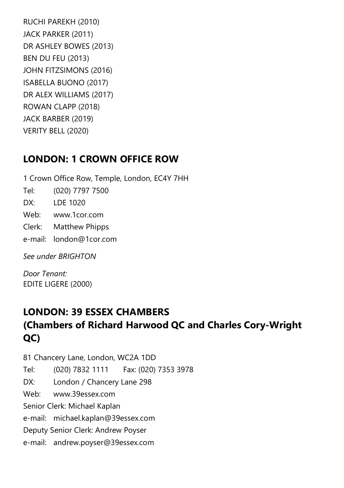RUCHI PAREKH (2010) JACK PARKER (2011) DR ASHLEY BOWES (2013) BEN DU FEU (2013) JOHN FITZSIMONS (2016) ISABELLA BUONO (2017) DR ALEX WILLIAMS (2017) ROWAN CLAPP (2018) JACK BARBER (2019) VERITY BELL (2020)

#### LONDON: 1 CROWN OFFICE ROW

1 Crown Office Row, Temple, London, EC4Y 7HH Tel: (020) 7797 7500 DX: LDE 1020 Web: www.1cor.com Clerk: Matthew Phipps e-mail: london@1cor.com

See under BRIGHTON

Door Tenant: EDITE LIGERE (2000)

## LONDON: 39 ESSEX CHAMBERS (Chambers of Richard Harwood QC and Charles Cory-Wright QC)

81 Chancery Lane, London, WC2A 1DD Tel: (020) 7832 1111 Fax: (020) 7353 3978 DX: London / Chancery Lane 298 Web: www.39essex.com Senior Clerk: Michael Kaplan e-mail: michael.kaplan@39essex.com Deputy Senior Clerk: Andrew Poyser e-mail: andrew.poyser@39essex.com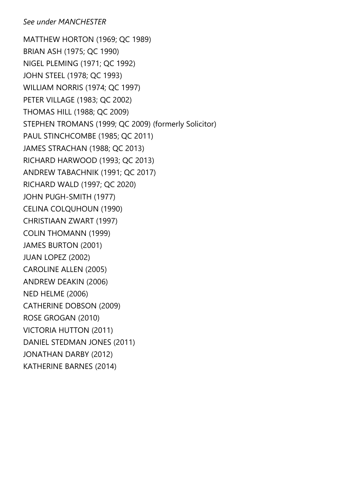#### See under MANCHESTER

MATTHEW HORTON (1969; QC 1989) BRIAN ASH (1975; QC 1990) NIGEL PLEMING (1971; QC 1992) JOHN STEEL (1978; QC 1993) WILLIAM NORRIS (1974; QC 1997) PETER VILLAGE (1983; QC 2002) THOMAS HILL (1988; QC 2009) STEPHEN TROMANS (1999; QC 2009) (formerly Solicitor) PAUL STINCHCOMBE (1985; QC 2011) JAMES STRACHAN (1988; QC 2013) RICHARD HARWOOD (1993; QC 2013) ANDREW TABACHNIK (1991; QC 2017) RICHARD WALD (1997; QC 2020) JOHN PUGH-SMITH (1977) CELINA COLQUHOUN (1990) CHRISTIAAN ZWART (1997) COLIN THOMANN (1999) JAMES BURTON (2001) JUAN LOPEZ (2002) CAROLINE ALLEN (2005) ANDREW DEAKIN (2006) NED HELME (2006) CATHERINE DOBSON (2009) ROSE GROGAN (2010) VICTORIA HUTTON (2011) DANIEL STEDMAN JONES (2011) JONATHAN DARBY (2012) KATHERINE BARNES (2014)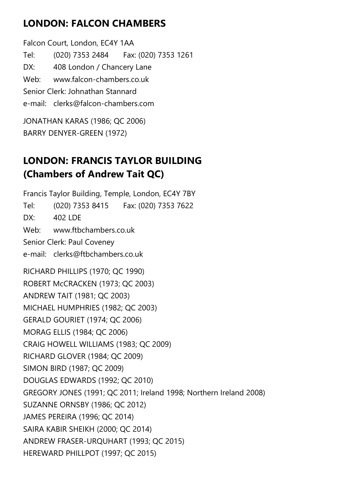## LONDON: FALCON CHAMBERS

Falcon Court, London, EC4Y 1AA Tel: (020) 7353 2484 Fax: (020) 7353 1261 DX: 408 London / Chancery Lane Web: www.falcon-chambers.co.uk Senior Clerk: Johnathan Stannard e-mail: clerks@falcon-chambers.com

JONATHAN KARAS (1986; QC 2006) BARRY DENYER-GREEN (1972)

## LONDON: FRANCIS TAYLOR BUILDING (Chambers of Andrew Tait QC)

Francis Taylor Building, Temple, London, EC4Y 7BY Tel: (020) 7353 8415 Fax: (020) 7353 7622  $DX$ : 402 LDF Web: www.ftbchambers.co.uk Senior Clerk: Paul Coveney e-mail: clerks@ftbchambers.co.uk RICHARD PHILLIPS (1970; QC 1990) ROBERT McCRACKEN (1973; QC 2003) ANDREW TAIT (1981; QC 2003) MICHAEL HUMPHRIES (1982; QC 2003) GERALD GOURIET (1974; QC 2006) MORAG ELLIS (1984; QC 2006) CRAIG HOWELL WILLIAMS (1983; QC 2009) RICHARD GLOVER (1984; QC 2009) SIMON BIRD (1987; QC 2009) DOUGLAS EDWARDS (1992; QC 2010) GREGORY JONES (1991; QC 2011; Ireland 1998; Northern Ireland 2008) SUZANNE ORNSBY (1986; QC 2012) JAMES PEREIRA (1996; QC 2014) SAIRA KABIR SHEIKH (2000; QC 2014) ANDREW FRASER-URQUHART (1993; QC 2015) HEREWARD PHILLPOT (1997; QC 2015)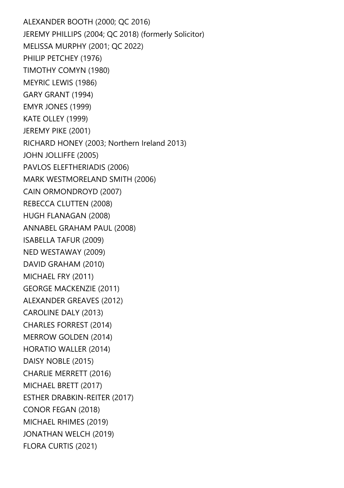ALEXANDER BOOTH (2000; QC 2016) JEREMY PHILLIPS (2004; QC 2018) (formerly Solicitor) MELISSA MURPHY (2001; QC 2022) PHILIP PETCHEY (1976) TIMOTHY COMYN (1980) MEYRIC LEWIS (1986) GARY GRANT (1994) EMYR JONES (1999) KATE OLLEY (1999) JEREMY PIKE (2001) RICHARD HONEY (2003; Northern Ireland 2013) JOHN JOLLIFFE (2005) PAVLOS ELEFTHERIADIS (2006) MARK WESTMORELAND SMITH (2006) CAIN ORMONDROYD (2007) REBECCA CLUTTEN (2008) HUGH FLANAGAN (2008) ANNABEL GRAHAM PAUL (2008) ISABELLA TAFUR (2009) NED WESTAWAY (2009) DAVID GRAHAM (2010) MICHAEL FRY (2011) GEORGE MACKENZIE (2011) ALEXANDER GREAVES (2012) CAROLINE DALY (2013) CHARLES FORREST (2014) MERROW GOLDEN (2014) HORATIO WALLER (2014) DAISY NOBLE (2015) CHARLIE MERRETT (2016) MICHAEL BRETT (2017) ESTHER DRABKIN-REITER (2017) CONOR FEGAN (2018) MICHAEL RHIMES (2019) JONATHAN WELCH (2019) FLORA CURTIS (2021)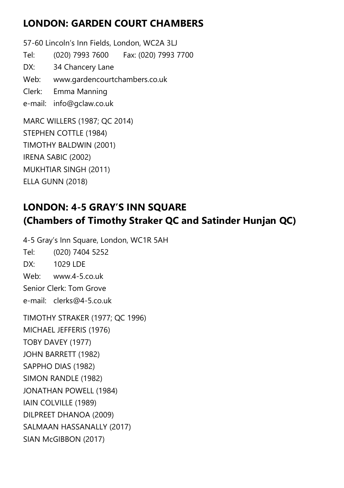#### LONDON: GARDEN COURT CHAMBERS

57-60 Lincoln's Inn Fields, London, WC2A 3LJ Tel: (020) 7993 7600 Fax: (020) 7993 7700 DX: 34 Chancery Lane Web: www.gardencourtchambers.co.uk Clerk: Emma Manning e-mail: info@gclaw.co.uk MARC WILLERS (1987; QC 2014) STEPHEN COTTLE (1984) TIMOTHY BALDWIN (2001) IRENA SABIC (2002) MUKHTIAR SINGH (2011)

ELLA GUNN (2018)

## LONDON: 4-5 GRAY'S INN SQUARE (Chambers of Timothy Straker QC and Satinder Hunjan QC)

4-5 Gray's Inn Square, London, WC1R 5AH Tel: (020) 7404 5252 DX: 1029 LDE Web: www.4-5.co.uk Senior Clerk: Tom Grove e-mail: clerks@4-5.co.uk TIMOTHY STRAKER (1977; QC 1996)

MICHAEL JEFFERIS (1976) TOBY DAVEY (1977) JOHN BARRETT (1982) SAPPHO DIAS (1982) SIMON RANDLE (1982) JONATHAN POWELL (1984) IAIN COLVILLE (1989) DILPREET DHANOA (2009) SALMAAN HASSANALLY (2017) SIAN McGIBBON (2017)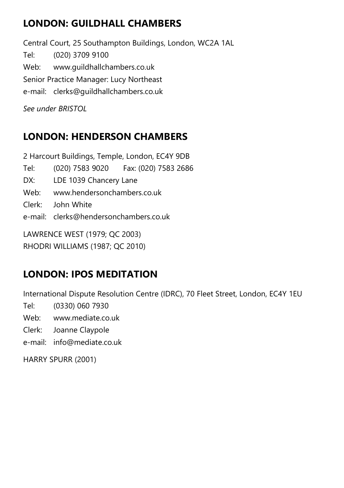## LONDON: GUILDHALL CHAMBERS

Central Court, 25 Southampton Buildings, London, WC2A 1AL Tel: (020) 3709 9100 Web: www.guildhallchambers.co.uk Senior Practice Manager: Lucy Northeast e-mail: clerks@guildhallchambers.co.uk See under BRISTOL

## LONDON: HENDERSON CHAMBERS

2 Harcourt Buildings, Temple, London, EC4Y 9DB Tel: (020) 7583 9020 Fax: (020) 7583 2686 DX: LDE 1039 Chancery Lane Web: www.hendersonchambers.co.uk Clerk: John White e-mail: clerks@hendersonchambers.co.uk LAWRENCE WEST (1979; QC 2003) RHODRI WILLIAMS (1987; QC 2010)

## LONDON: IPOS MEDITATION

International Dispute Resolution Centre (IDRC), 70 Fleet Street, London, EC4Y 1EU

- Tel: (0330) 060 7930
- Web: www.mediate.co.uk
- Clerk: Joanne Claypole
- e-mail: info@mediate.co.uk

HARRY SPURR (2001)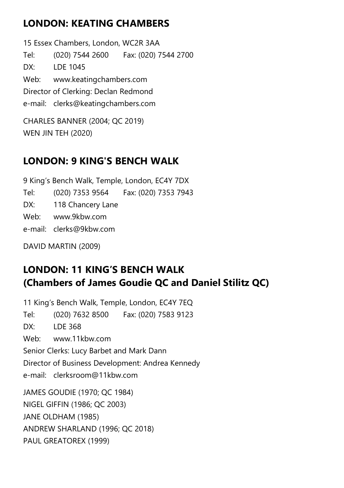## LONDON: KEATING CHAMBERS

15 Essex Chambers, London, WC2R 3AA Tel: (020) 7544 2600 Fax: (020) 7544 2700 DX: LDE 1045 Web: www.keatingchambers.com Director of Clerking: Declan Redmond e-mail: clerks@keatingchambers.com CHARLES BANNER (2004; QC 2019)

WEN JIN TEH (2020)

## LONDON: 9 KING'S BENCH WALK

9 King's Bench Walk, Temple, London, EC4Y 7DX Tel: (020) 7353 9564 Fax: (020) 7353 7943 DX: 118 Chancery Lane Web: www.9kbw.com e-mail: clerks@9kbw.com

DAVID MARTIN (2009)

PAUL GREATOREX (1999)

## LONDON: 11 KING'S BENCH WALK (Chambers of James Goudie QC and Daniel Stilitz QC)

11 King's Bench Walk, Temple, London, EC4Y 7EQ Tel: (020) 7632 8500 Fax: (020) 7583 9123 DX: LDE 368 Web: www.11kbw.com Senior Clerks: Lucy Barbet and Mark Dann Director of Business Development: Andrea Kennedy e-mail: clerksroom@11kbw.com JAMES GOUDIE (1970; QC 1984) NIGEL GIFFIN (1986; QC 2003) JANE OLDHAM (1985) ANDREW SHARLAND (1996; QC 2018)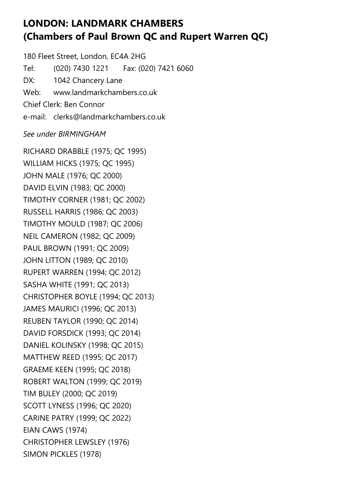#### LONDON: LANDMARK CHAMBERS (Chambers of Paul Brown QC and Rupert Warren QC)

180 Fleet Street, London, EC4A 2HG Tel: (020) 7430 1221 Fax: (020) 7421 6060 DX: 1042 Chancery Lane Web: www.landmarkchambers.co.uk Chief Clerk: Ben Connor e-mail: clerks@landmarkchambers.co.uk

#### See under BIRMINGHAM

RICHARD DRABBLE (1975; QC 1995) WILLIAM HICKS (1975; QC 1995) JOHN MALE (1976; QC 2000) DAVID ELVIN (1983; QC 2000) TIMOTHY CORNER (1981; QC 2002) RUSSELL HARRIS (1986; QC 2003) TIMOTHY MOULD (1987; QC 2006) NEIL CAMERON (1982; QC 2009) PAUL BROWN (1991; QC 2009) JOHN LITTON (1989; QC 2010) RUPERT WARREN (1994; QC 2012) SASHA WHITE (1991; QC 2013) CHRISTOPHER BOYLE (1994; QC 2013) JAMES MAURICI (1996; QC 2013) REUBEN TAYLOR (1990; QC 2014) DAVID FORSDICK (1993; QC 2014) DANIEL KOLINSKY (1998; QC 2015) MATTHEW REED (1995; QC 2017) GRAEME KEEN (1995; QC 2018) ROBERT WALTON (1999; QC 2019) TIM BULEY (2000; QC 2019) SCOTT LYNESS (1996; QC 2020) CARINE PATRY (1999; QC 2022) EIAN CAWS (1974) CHRISTOPHER LEWSLEY (1976) SIMON PICKLES (1978)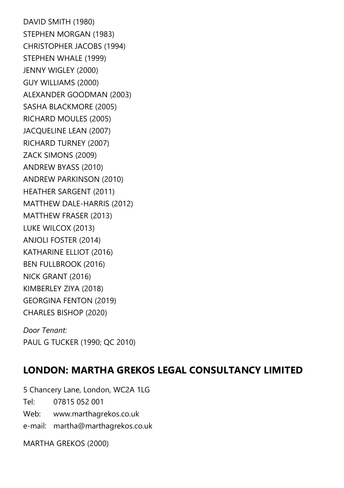DAVID SMITH (1980) STEPHEN MORGAN (1983) CHRISTOPHER JACOBS (1994) STEPHEN WHALE (1999) JENNY WIGLEY (2000) GUY WILLIAMS (2000) ALEXANDER GOODMAN (2003) SASHA BLACKMORE (2005) RICHARD MOULES (2005) JACQUELINE LEAN (2007) RICHARD TURNEY (2007) ZACK SIMONS (2009) ANDREW BYASS (2010) ANDREW PARKINSON (2010) HEATHER SARGENT (2011) MATTHEW DALE-HARRIS (2012) MATTHEW FRASER (2013) LUKE WILCOX (2013) ANJOLI FOSTER (2014) KATHARINE ELLIOT (2016) BEN FULLBROOK (2016) NICK GRANT (2016) KIMBERLEY ZIYA (2018) GEORGINA FENTON (2019) CHARLES BISHOP (2020)

Door Tenant: PAUL G TUCKER (1990; QC 2010)

#### LONDON: MARTHA GREKOS LEGAL CONSULTANCY LIMITED

5 Chancery Lane, London, WC2A 1LG Tel: 07815 052 001 Web: www.marthagrekos.co.uk e-mail: martha@marthagrekos.co.uk

MARTHA GREKOS (2000)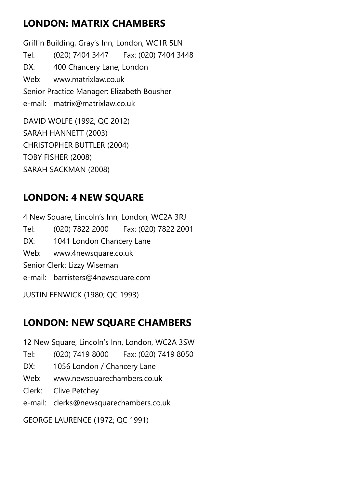## LONDON: MATRIX CHAMBERS

Griffin Building, Gray's Inn, London, WC1R 5LN Tel: (020) 7404 3447 Fax: (020) 7404 3448 DX: 400 Chancery Lane, London Web: www.matrixlaw.co.uk Senior Practice Manager: Elizabeth Bousher e-mail: matrix@matrixlaw.co.uk DAVID WOLFE (1992; QC 2012)

SARAH HANNETT (2003) CHRISTOPHER BUTTLER (2004) TOBY FISHER (2008) SARAH SACKMAN (2008)

## LONDON: 4 NEW SQUARE

4 New Square, Lincoln's Inn, London, WC2A 3RJ Tel: (020) 7822 2000 Fax: (020) 7822 2001 DX: 1041 London Chancery Lane Web: www.4newsquare.co.uk Senior Clerk: Lizzy Wiseman e-mail: barristers@4newsquare.com JUSTIN FENWICK (1980; QC 1993)

#### LONDON: NEW SQUARE CHAMBERS

12 New Square, Lincoln's Inn, London, WC2A 3SW

- Tel: (020) 7419 8000 Fax: (020) 7419 8050
- DX: 1056 London / Chancery Lane
- Web: www.newsquarechambers.co.uk
- Clerk: Clive Petchey
- e-mail: clerks@newsquarechambers.co.uk

GEORGE LAURENCE (1972; QC 1991)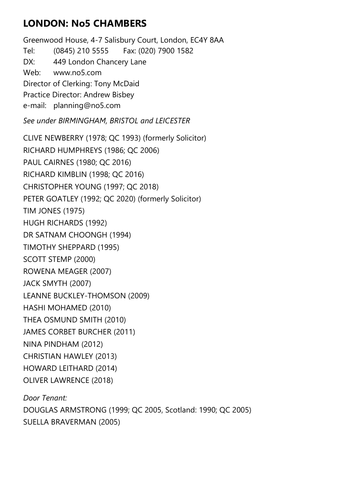## LONDON: No5 CHAMBERS

Greenwood House, 4-7 Salisbury Court, London, EC4Y 8AA Tel: (0845) 210 5555 Fax: (020) 7900 1582 DX: 449 London Chancery Lane Web: www.no5.com Director of Clerking: Tony McDaid Practice Director: Andrew Bisbey e-mail: planning@no5.com

See under BIRMINGHAM, BRISTOL and LEICESTER

CLIVE NEWBERRY (1978; QC 1993) (formerly Solicitor) RICHARD HUMPHREYS (1986; QC 2006) PAUL CAIRNES (1980; QC 2016) RICHARD KIMBLIN (1998; QC 2016) CHRISTOPHER YOUNG (1997; QC 2018) PETER GOATLEY (1992; QC 2020) (formerly Solicitor) TIM JONES (1975) HUGH RICHARDS (1992) DR SATNAM CHOONGH (1994) TIMOTHY SHEPPARD (1995) SCOTT STEMP (2000) ROWENA MEAGER (2007) JACK SMYTH (2007) LEANNE BUCKLEY-THOMSON (2009) HASHI MOHAMED (2010) THEA OSMUND SMITH (2010) JAMES CORBET BURCHER (2011) NINA PINDHAM (2012) CHRISTIAN HAWLEY (2013) HOWARD LEITHARD (2014) OLIVER LAWRENCE (2018) Door Tenant:

DOUGLAS ARMSTRONG (1999; QC 2005, Scotland: 1990; QC 2005) SUELLA BRAVERMAN (2005)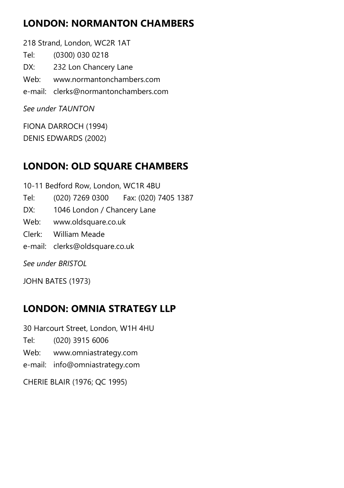## LONDON: NORMANTON CHAMBERS

218 Strand, London, WC2R 1AT Tel: (0300) 030 0218 DX: 232 Lon Chancery Lane Web: www.normantonchambers.com e-mail: clerks@normantonchambers.com See under TAUNTON

FIONA DARROCH (1994) DENIS EDWARDS (2002)

## LONDON: OLD SQUARE CHAMBERS

10-11 Bedford Row, London, WC1R 4BU Tel: (020) 7269 0300 Fax: (020) 7405 1387 DX: 1046 London / Chancery Lane Web: www.oldsquare.co.uk Clerk: William Meade e-mail: clerks@oldsquare.co.uk See under BRISTOL JOHN BATES (1973)

## LONDON: OMNIA STRATEGY LLP

30 Harcourt Street, London, W1H 4HU

- Tel: (020) 3915 6006
- Web: www.omniastrategy.com
- e-mail: info@omniastrategy.com

CHERIE BLAIR (1976; QC 1995)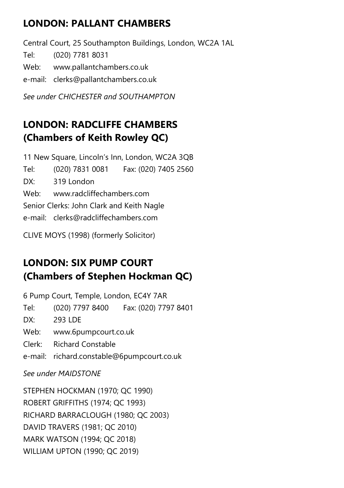## LONDON: PALLANT CHAMBERS

Central Court, 25 Southampton Buildings, London, WC2A 1AL Tel: (020) 7781 8031 Web: www.pallantchambers.co.uk e-mail: clerks@pallantchambers.co.uk

See under CHICHESTER and SOUTHAMPTON

## LONDON: RADCLIFFE CHAMBERS (Chambers of Keith Rowley QC)

11 New Square, Lincoln's Inn, London, WC2A 3QB Tel: (020) 7831 0081 Fax: (020) 7405 2560 DX: 319 London Web: www.radcliffechambers.com Senior Clerks: John Clark and Keith Nagle e-mail: clerks@radcliffechambers.com CLIVE MOYS (1998) (formerly Solicitor)

## LONDON: SIX PUMP COURT (Chambers of Stephen Hockman QC)

6 Pump Court, Temple, London, EC4Y 7AR

Tel: (020) 7797 8400 Fax: (020) 7797 8401

DX: 293 LDE

Web: www.6pumpcourt.co.uk

Clerk: Richard Constable

e-mail: richard.constable@6pumpcourt.co.uk

See under MAIDSTONE

STEPHEN HOCKMAN (1970; QC 1990) ROBERT GRIFFITHS (1974; QC 1993) RICHARD BARRACLOUGH (1980; QC 2003) DAVID TRAVERS (1981; QC 2010) MARK WATSON (1994; QC 2018) WILLIAM UPTON (1990; QC 2019)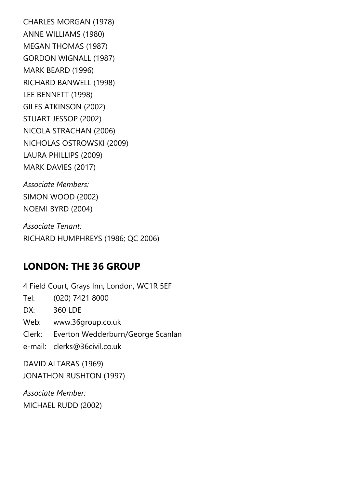CHARLES MORGAN (1978) ANNE WILLIAMS (1980) MEGAN THOMAS (1987) GORDON WIGNALL (1987) MARK BEARD (1996) RICHARD BANWELL (1998) LEE BENNETT (1998) GILES ATKINSON (2002) STUART JESSOP (2002) NICOLA STRACHAN (2006) NICHOLAS OSTROWSKI (2009) LAURA PHILLIPS (2009) MARK DAVIES (2017)

Associate Members: SIMON WOOD (2002) NOEMI BYRD (2004)

Associate Tenant: RICHARD HUMPHREYS (1986; QC 2006)

#### LONDON: THE 36 GROUP

4 Field Court, Grays Inn, London, WC1R 5EF Tel: (020) 7421 8000 DX: 360 LDE Web: www.36group.co.uk Clerk: Everton Wedderburn/George Scanlan e-mail: clerks@36civil.co.uk DAVID ALTARAS (1969)

JONATHON RUSHTON (1997)

Associate Member: MICHAEL RUDD (2002)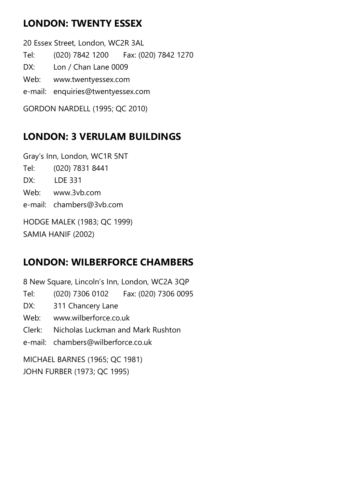## LONDON: TWENTY ESSEX

20 Essex Street, London, WC2R 3AL Tel: (020) 7842 1200 Fax: (020) 7842 1270 DX: Lon / Chan Lane 0009 Web: www.twentyessex.com e-mail: enquiries@twentyessex.com GORDON NARDELL (1995; QC 2010)

## LONDON: 3 VERULAM BUILDINGS

Gray's Inn, London, WC1R 5NT Tel: (020) 7831 8441 DX: LDE 331 Web: www.3vb.com e-mail: chambers@3vb.com HODGE MALEK (1983; QC 1999)

SAMIA HANIF (2002)

## LONDON: WILBERFORCE CHAMBERS

8 New Square, Lincoln's Inn, London, WC2A 3QP Tel: (020) 7306 0102 Fax: (020) 7306 0095 DX: 311 Chancery Lane Web: www.wilberforce.co.uk Clerk: Nicholas Luckman and Mark Rushton e-mail: chambers@wilberforce.co.uk MICHAEL BARNES (1965; QC 1981)

JOHN FURBER (1973; QC 1995)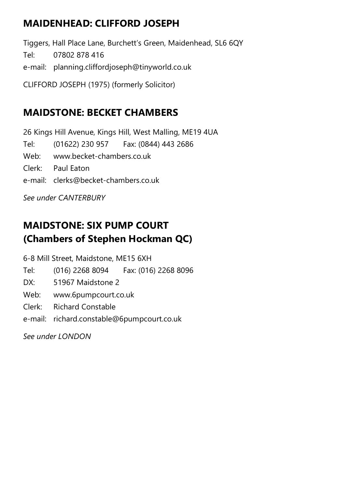## MAIDENHEAD: CLIFFORD JOSEPH

Tiggers, Hall Place Lane, Burchett's Green, Maidenhead, SL6 6QY Tel: 07802 878 416 e-mail: planning.cliffordjoseph@tinyworld.co.uk CLIFFORD JOSEPH (1975) (formerly Solicitor)

#### MAIDSTONE: BECKET CHAMBERS

26 Kings Hill Avenue, Kings Hill, West Malling, ME19 4UA Tel: (01622) 230 957 Fax: (0844) 443 2686 Web: www.becket-chambers.co.uk Clerk: Paul Eaton e-mail: clerks@becket-chambers.co.uk

See under CANTERBURY

## MAIDSTONE: SIX PUMP COURT (Chambers of Stephen Hockman QC)

6-8 Mill Street, Maidstone, ME15 6XH

- Tel: (016) 2268 8094 Fax: (016) 2268 8096
- DX: 51967 Maidstone 2
- Web: www.6pumpcourt.co.uk
- Clerk: Richard Constable
- e-mail: richard.constable@6pumpcourt.co.uk

See under LONDON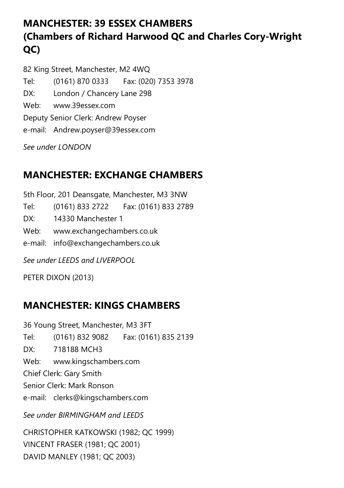## MANCHESTER: 39 ESSEX CHAMBERS (Chambers of Richard Harwood QC and Charles Cory-Wright QC)

82 King Street, Manchester, M2 4WQ Tel: (0161) 870 0333 Fax: (020) 7353 3978 DX: London / Chancery Lane 298 Web: www.39essex.com Deputy Senior Clerk: Andrew Poyser e-mail: Andrew.poyser@39essex.com

See under LONDON

## MANCHESTER: EXCHANGE CHAMBERS

5th Floor, 201 Deansgate, Manchester, M3 3NW Tel: (0161) 833 2722 Fax: (0161) 833 2789 DX: 14330 Manchester 1 Web: www.exchangechambers.co.uk e-mail: info@exchangechambers.co.uk

See under LEEDS and LIVERPOOL

PETER DIXON (2013)

## MANCHESTER: KINGS CHAMBERS

36 Young Street, Manchester, M3 3FT Tel: (0161) 832 9082 Fax: (0161) 835 2139 DX: 718188 MCH3 Web: www.kingschambers.com Chief Clerk: Gary Smith Senior Clerk: Mark Ronson e-mail: clerks@kingschambers.com See under BIRMINGHAM and LEEDS CHRISTOPHER KATKOWSKI (1982; QC 1999) VINCENT FRASER (1981; QC 2001)

DAVID MANLEY (1981; QC 2003)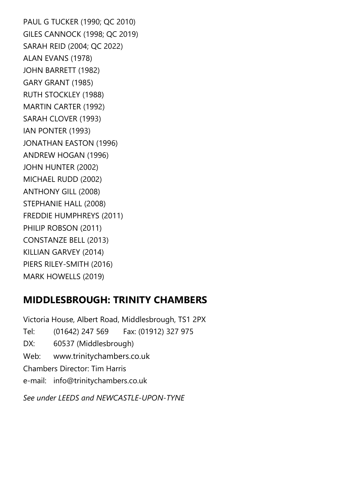PAUL G TUCKER (1990; QC 2010) GILES CANNOCK (1998; QC 2019) SARAH REID (2004; QC 2022) ALAN EVANS (1978) JOHN BARRETT (1982) GARY GRANT (1985) RUTH STOCKLEY (1988) MARTIN CARTER (1992) SARAH CLOVER (1993) IAN PONTER (1993) JONATHAN EASTON (1996) ANDREW HOGAN (1996) JOHN HUNTER (2002) MICHAEL RUDD (2002) ANTHONY GILL (2008) STEPHANIE HALL (2008) FREDDIE HUMPHREYS (2011) PHILIP ROBSON (2011) CONSTANZE BELL (2013) KILLIAN GARVEY (2014) PIERS RILEY-SMITH (2016) MARK HOWELLS (2019)

#### MIDDLESBROUGH: TRINITY CHAMBERS

Victoria House, Albert Road, Middlesbrough, TS1 2PX Tel: (01642) 247 569 Fax: (01912) 327 975 DX: 60537 (Middlesbrough) Web: www.trinitychambers.co.uk Chambers Director: Tim Harris e-mail: info@trinitychambers.co.uk See under LEEDS and NEWCASTLE-UPON-TYNE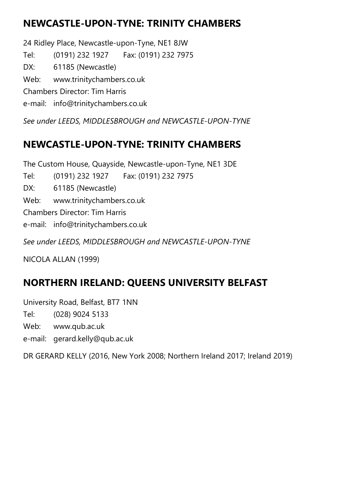## NEWCASTLE-UPON-TYNE: TRINITY CHAMBERS

24 Ridley Place, Newcastle-upon-Tyne, NE1 8JW Tel: (0191) 232 1927 Fax: (0191) 232 7975 DX: 61185 (Newcastle) Web: www.trinitychambers.co.uk Chambers Director: Tim Harris e-mail: info@trinitychambers.co.uk

See under LEEDS, MIDDLESBROUGH and NEWCASTLE-UPON-TYNE

#### NEWCASTLE-UPON-TYNE: TRINITY CHAMBERS

The Custom House, Quayside, Newcastle-upon-Tyne, NE1 3DE

Tel: (0191) 232 1927 Fax: (0191) 232 7975

DX: 61185 (Newcastle)

Web: www.trinitychambers.co.uk

Chambers Director: Tim Harris

e-mail: info@trinitychambers.co.uk

See under LEEDS, MIDDLESBROUGH and NEWCASTLE-UPON-TYNE

NICOLA ALLAN (1999)

## NORTHERN IRELAND: QUEENS UNIVERSITY BELFAST

University Road, Belfast, BT7 1NN

Tel: (028) 9024 5133

Web: www.qub.ac.uk

e-mail: gerard.kelly@qub.ac.uk

DR GERARD KELLY (2016, New York 2008; Northern Ireland 2017; Ireland 2019)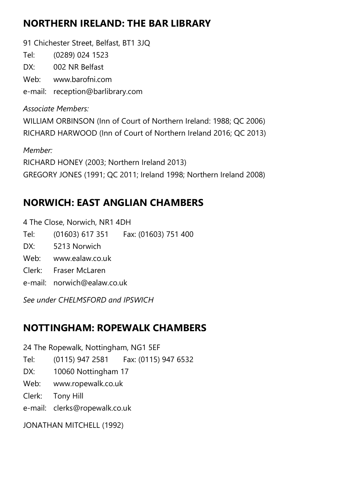#### NORTHERN IRELAND: THE BAR LIBRARY

91 Chichester Street, Belfast, BT1 3JQ

Tel: (0289) 024 1523

DX: 002 NR Belfast

Web: www.barofni.com

e-mail: reception@barlibrary.com

Associate Members: WILLIAM ORBINSON (Inn of Court of Northern Ireland: 1988; QC 2006) RICHARD HARWOOD (Inn of Court of Northern Ireland 2016; QC 2013)

Member: RICHARD HONEY (2003; Northern Ireland 2013) GREGORY JONES (1991; QC 2011; Ireland 1998; Northern Ireland 2008)

## NORWICH: EAST ANGLIAN CHAMBERS

4 The Close, Norwich, NR1 4DH Tel: (01603) 617 351 Fax: (01603) 751 400 DX: 5213 Norwich Web: www.ealaw.co.uk Clerk: Fraser McLaren e-mail: norwich@ealaw.co.uk

See under CHELMSFORD and IPSWICH

## NOTTINGHAM: ROPEWALK CHAMBERS

24 The Ropewalk, Nottingham, NG1 5EF

Tel: (0115) 947 2581 Fax: (0115) 947 6532

DX: 10060 Nottingham 17

Web: www.ropewalk.co.uk

Clerk: Tony Hill

e-mail: clerks@ropewalk.co.uk

JONATHAN MITCHELL (1992)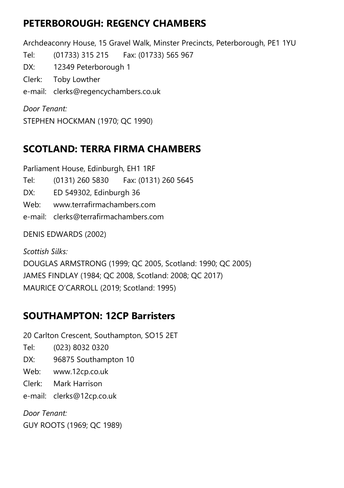#### PETERBOROUGH: REGENCY CHAMBERS

Archdeaconry House, 15 Gravel Walk, Minster Precincts, Peterborough, PE1 1YU Tel: (01733) 315 215 Fax: (01733) 565 967 DX: 12349 Peterborough 1 Clerk: Toby Lowther e-mail: clerks@regencychambers.co.uk Door Tenant:

STEPHEN HOCKMAN (1970; QC 1990)

## SCOTLAND: TERRA FIRMA CHAMBERS

Parliament House, Edinburgh, EH1 1RF

Tel: (0131) 260 5830 Fax: (0131) 260 5645

DX: ED 549302, Edinburgh 36

Web: www.terrafirmachambers.com

e-mail: clerks@terrafirmachambers.com

DENIS EDWARDS (2002)

Scottish Silks: DOUGLAS ARMSTRONG (1999; QC 2005, Scotland: 1990; QC 2005) JAMES FINDLAY (1984; QC 2008, Scotland: 2008; QC 2017) MAURICE O'CARROLL (2019; Scotland: 1995)

## SOUTHAMPTON: 12CP Barristers

20 Carlton Crescent, Southampton, SO15 2ET

- Tel: (023) 8032 0320
- DX: 96875 Southampton 10
- Web: www.12cp.co.uk
- Clerk: Mark Harrison

e-mail: clerks@12cp.co.uk

Door Tenant: GUY ROOTS (1969; QC 1989)